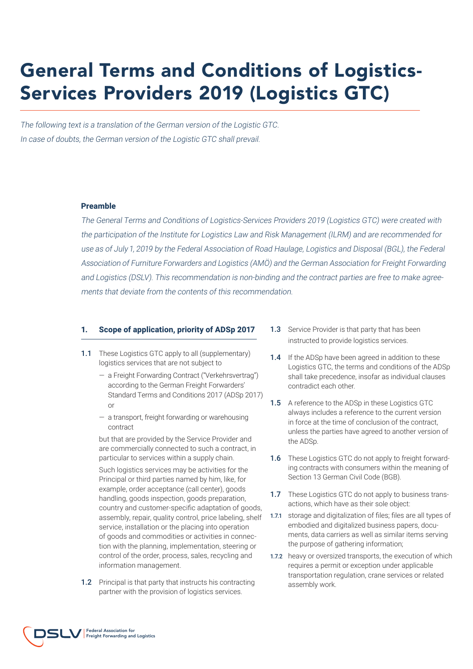# General Terms and Conditions of Logistics-Services Providers 2019 (Logistics GTC)

The following text is a translation of the German version of the Logistic GTC. In case of doubts, the German version of the Logistic GTC shall prevail.

#### **Preamble**

The General Terms and Conditions of Logistics-Services Providers 2019 (Logistics GTC) were created with the participation of the Institute for Logistics Law and Risk Management (ILRM) and are recommended for use as of July 1, 2019 by the Federal Association of Road Haulage, Logistics and Disposal (BGL), the Federal Association of Furniture Forwarders and Logistics (AMÖ) and the German Association for Freight Forwarding and Logistics (DSLV). This recommendation is non-binding and the contract parties are free to make agreements that deviate from the contents of this recommendation.

#### **1. Scope of application, priority of ADSp 2017**

- 1.1 These Logistics GTC apply to all (supplementary) logistics services that are not subject to
	- a Freight Forwarding Contract ("Verkehrsvertrag") according to the German Freight Forwarders' Standard Terms and Conditions 2017 (ADSp 2017) or
	- a transport, freight forwarding or warehousing contract

but that are provided by the Service Provider and are commercially connected to such a contract, in particular to services within a supply chain.

Such logistics services may be activities for the Principal or third parties named by him, like, for example, order acceptance (call center), goods handling, goods inspection, goods preparation, country and customer-specific adaptation of goods, assembly, repair, quality control, price labeling, shelf service, installation or the placing into operation of goods and commodities or activities in connection with the planning, implementation, steering or control of the order, process, sales, recycling and information management.

1.2 Principal is that party that instructs his contracting partner with the provision of logistics services.

- **1.3** Service Provider is that party that has been instructed to provide logistics services.
- 1.4 If the ADSp have been agreed in addition to these Logistics GTC, the terms and conditions of the ADSp shall take precedence, insofar as individual clauses contradict each other.
- 1.5 A reference to the ADSp in these Logistics GTC always includes a reference to the current version in force at the time of conclusion of the contract, unless the parties have agreed to another version of the ADSp.
- 1.6 These Logistics GTC do not apply to freight forwarding contracts with consumers within the meaning of Section 13 German Civil Code (BGB).
- 1.7 These Logistics GTC do not apply to business transactions, which have as their sole object:
- 1.7.1 storage and digitalization of files; files are all types of embodied and digitalized business papers, documents, data carriers as well as similar items serving the purpose of gathering information;
- 1.7.2 heavy or oversized transports, the execution of which requires a permit or exception under applicable transportation regulation, crane services or related assembly work.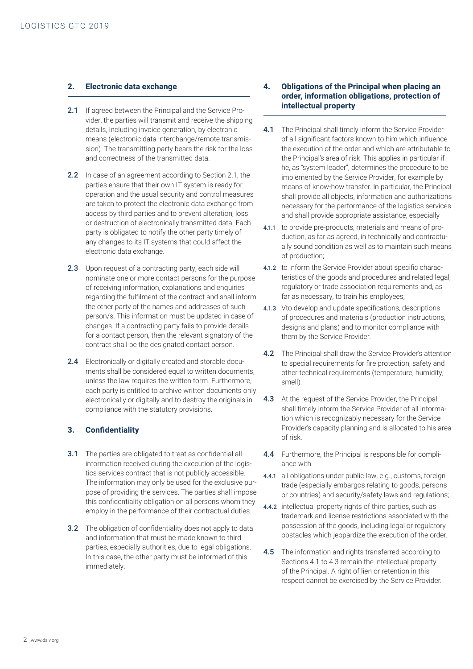## **2. Electronic data exchange**

- 2.1 If agreed between the Principal and the Service Provider, the parties will transmit and receive the shipping details, including invoice generation, by electronic means (electronic data interchange/remote transmission). The transmitting party bears the risk for the loss and correctness of the transmitted data.
- 2.2 In case of an agreement according to Section 2.1, the parties ensure that their own IT system is ready for operation and the usual security and control measures are taken to protect the electronic data exchange from access by third parties and to prevent alteration, loss or destruction of electronically transmitted data. Each party is obligated to notify the other party timely of any changes to its IT systems that could affect the electronic data exchange.
- 2.3 Upon request of a contracting party, each side will nominate one or more contact persons for the purpose of receiving information, explanations and enquiries regarding the fulfilment of the contract and shall inform the other party of the names and addresses of such person/s. This information must be updated in case of changes. If a contracting party fails to provide details for a contact person, then the relevant signatory of the contract shall be the designated contact person.
- 2.4 Electronically or digitally created and storable documents shall be considered equal to written documents, unless the law requires the written form. Furthermore, each party is entitled to archive written documents only electronically or digitally and to destroy the originals in compliance with the statutory provisions.

# **3. Confidentiality**

- 3.1 The parties are obligated to treat as confidential all information received during the execution of the logistics services contract that is not publicly accessible. The information may only be used for the exclusive purpose of providing the services. The parties shall impose this confidentiality obligation on all persons whom they employ in the performance of their contractual duties.
- **3.2** The obligation of confidentiality does not apply to data and information that must be made known to third parties, especially authorities, due to legal obligations. In this case, the other party must be informed of this immediately.

## **4. Obligations of the Principal when placing an order, information obligations, protection of intellectual property**

- 4.1 The Principal shall timely inform the Service Provider of all significant factors known to him which influence the execution of the order and which are attributable to the Principal's area of risk. This applies in particular if he, as "system leader", determines the procedure to be implemented by the Service Provider, for example by means of know-how transfer. In particular, the Principal shall provide all objects, information and authorizations necessary for the performance of the logistics services and shall provide appropriate assistance, especially
- 4.1.1 to provide pre-products, materials and means of production, as far as agreed, in technically and contractually sound condition as well as to maintain such means of production;
- 4.1.2 to inform the Service Provider about specific characteristics of the goods and procedures and related legal, regulatory or trade association requirements and, as far as necessary, to train his employees;
- 4.1.3 Vto develop and update specifications, descriptions of procedures and materials (production instructions, designs and plans) and to monitor compliance with them by the Service Provider.
- 4.2 The Principal shall draw the Service Provider's attention to special requirements for fire protection, safety and other technical requirements (temperature, humidity, smell).
- 4.3 At the request of the Service Provider, the Principal shall timely inform the Service Provider of all information which is recognizably necessary for the Service Provider's capacity planning and is allocated to his area of risk.
- 4.4 Furthermore, the Principal is responsible for compliance with
- 4.4.1 all obligations under public law, e.g., customs, foreign trade (especially embargos relating to goods, persons or countries) and security/safety laws and regulations;
- 4.4.2 intellectual property rights of third parties, such as trademark and license restrictions associated with the possession of the goods, including legal or regulatory obstacles which jeopardize the execution of the order.
- 4.5 The information and rights transferred according to Sections 4.1 to 4.3 remain the intellectual property of the Principal. A right of lien or retention in this respect cannot be exercised by the Service Provider.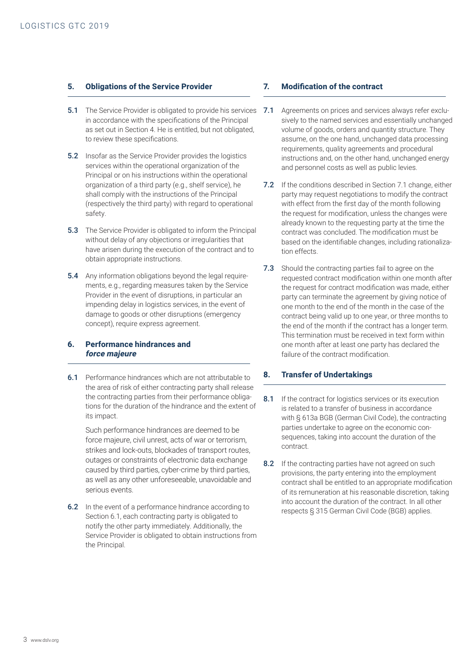## **5. Obligations of the Service Provider**

- **5.1** The Service Provider is obligated to provide his services 7.1 in accordance with the specifications of the Principal as set out in Section 4. He is entitled, but not obligated, to review these specifications.
- **5.2** Insofar as the Service Provider provides the logistics services within the operational organization of the Principal or on his instructions within the operational organization of a third party (e.g., shelf service), he shall comply with the instructions of the Principal (respectively the third party) with regard to operational safety.
- **5.3** The Service Provider is obligated to inform the Principal without delay of any objections or irregularities that have arisen during the execution of the contract and to obtain appropriate instructions.
- **5.4** Any information obligations beyond the legal requirements, e.g., regarding measures taken by the Service Provider in the event of disruptions, in particular an impending delay in logistics services, in the event of damage to goods or other disruptions (emergency concept), require express agreement.

# **6. Performance hindrances and force majeure**

6.1 Performance hindrances which are not attributable to the area of risk of either contracting party shall release the contracting parties from their performance obligations for the duration of the hindrance and the extent of its impact.

Such performance hindrances are deemed to be force majeure, civil unrest, acts of war or terrorism, strikes and lock-outs, blockades of transport routes, outages or constraints of electronic data exchange caused by third parties, cyber-crime by third parties, as well as any other unforeseeable, unavoidable and serious events.

**6.2** In the event of a performance hindrance according to Section 6.1, each contracting party is obligated to notify the other party immediately. Additionally, the Service Provider is obligated to obtain instructions from the Principal.

## **7. Modification of the contract**

- Agreements on prices and services always refer exclusively to the named services and essentially unchanged volume of goods, orders and quantity structure. They assume, on the one hand, unchanged data processing requirements, quality agreements and procedural instructions and, on the other hand, unchanged energy and personnel costs as well as public levies.
- 7.2 If the conditions described in Section 7.1 change, either party may request negotiations to modify the contract with effect from the first day of the month following the request for modification, unless the changes were already known to the requesting party at the time the contract was concluded. The modification must be based on the identifiable changes, including rationalization effects.
- 7.3 Should the contracting parties fail to agree on the requested contract modification within one month after the request for contract modification was made, either party can terminate the agreement by giving notice of one month to the end of the month in the case of the contract being valid up to one year, or three months to the end of the month if the contract has a longer term. This termination must be received in text form within one month after at least one party has declared the failure of the contract modification.

## **8. Transfer of Undertakings**

- 8.1 If the contract for logistics services or its execution is related to a transfer of business in accordance with § 613a BGB (German Civil Code), the contracting parties undertake to agree on the economic consequences, taking into account the duration of the contract.
- 8.2 If the contracting parties have not agreed on such provisions, the party entering into the employment contract shall be entitled to an appropriate modification of its remuneration at his reasonable discretion, taking into account the duration of the contract. In all other respects § 315 German Civil Code (BGB) applies.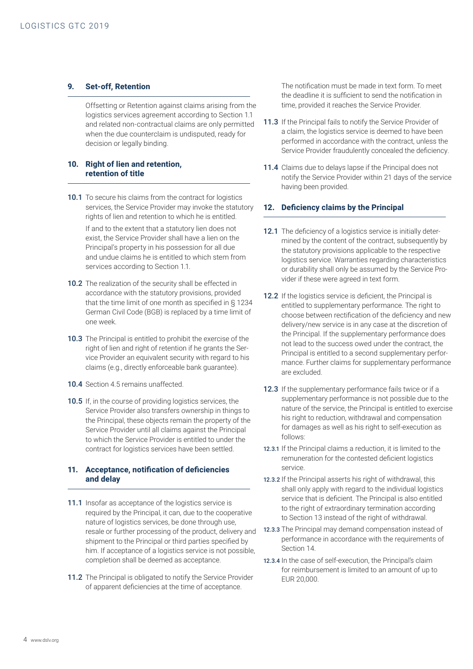# **9. Set-off, Retention**

Offsetting or Retention against claims arising from the logistics services agreement according to Section 1.1 and related non-contractual claims are only permitted when the due counterclaim is undisputed, ready for decision or legally binding.

# **10. Right of lien and retention, retention of title**

10.1 To secure his claims from the contract for logistics services, the Service Provider may invoke the statutory rights of lien and retention to which he is entitled.

If and to the extent that a statutory lien does not exist, the Service Provider shall have a lien on the Principal's property in his possession for all due and undue claims he is entitled to which stem from services according to Section 1.1.

- 10.2 The realization of the security shall be effected in accordance with the statutory provisions, provided that the time limit of one month as specified in § 1234 German Civil Code (BGB) is replaced by a time limit of one week.
- 10.3 The Principal is entitled to prohibit the exercise of the right of lien and right of retention if he grants the Service Provider an equivalent security with regard to his claims (e.g., directly enforceable bank guarantee).
- 10.4 Section 4.5 remains unaffected.
- 10.5 If, in the course of providing logistics services, the Service Provider also transfers ownership in things to the Principal, these objects remain the property of the Service Provider until all claims against the Principal to which the Service Provider is entitled to under the contract for logistics services have been settled.

## **11. Acceptance, notification of deficiencies and delay**

- 11.1 Insofar as acceptance of the logistics service is required by the Principal, it can, due to the cooperative nature of logistics services, be done through use, resale or further processing of the product, delivery and shipment to the Principal or third parties specified by him. If acceptance of a logistics service is not possible, completion shall be deemed as acceptance.
- 11.2 The Principal is obligated to notify the Service Provider of apparent deficiencies at the time of acceptance.

The notification must be made in text form. To meet the deadline it is sufficient to send the notification in time, provided it reaches the Service Provider.

- 11.3 If the Principal fails to notify the Service Provider of a claim, the logistics service is deemed to have been performed in accordance with the contract, unless the Service Provider fraudulently concealed the deficiency.
- 11.4 Claims due to delays lapse if the Principal does not notify the Service Provider within 21 days of the service having been provided.

#### **12. Deficiency claims by the Principal**

- 12.1 The deficiency of a logistics service is initially determined by the content of the contract, subsequently by the statutory provisions applicable to the respective logistics service. Warranties regarding characteristics or durability shall only be assumed by the Service Provider if these were agreed in text form.
- 12.2 If the logistics service is deficient, the Principal is entitled to supplementary performance. The right to choose between rectification of the deficiency and new delivery/new service is in any case at the discretion of the Principal. If the supplementary performance does not lead to the success owed under the contract, the Principal is entitled to a second supplementary performance. Further claims for supplementary performance are excluded.
- 12.3 If the supplementary performance fails twice or if a supplementary performance is not possible due to the nature of the service, the Principal is entitled to exercise his right to reduction, withdrawal and compensation for damages as well as his right to self-execution as follows:
- 12.3.1 If the Principal claims a reduction, it is limited to the remuneration for the contested deficient logistics service.
- 12.3.2 If the Principal asserts his right of withdrawal, this shall only apply with regard to the individual logistics service that is deficient. The Principal is also entitled to the right of extraordinary termination according to Section 13 instead of the right of withdrawal.
- 12.3.3 The Principal may demand compensation instead of performance in accordance with the requirements of Section 14.
- 12.3.4 In the case of self-execution, the Principal's claim for reimbursement is limited to an amount of up to EUR 20,000.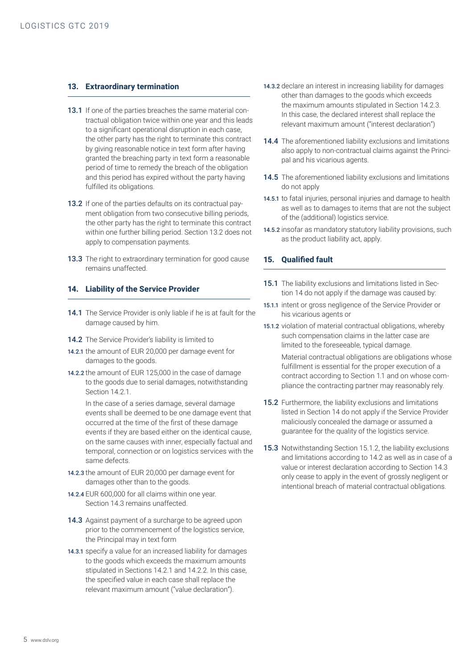## **13. Extraordinary termination**

- 13.1 If one of the parties breaches the same material contractual obligation twice within one year and this leads to a significant operational disruption in each case, the other party has the right to terminate this contract by giving reasonable notice in text form after having granted the breaching party in text form a reasonable period of time to remedy the breach of the obligation and this period has expired without the party having fulfilled its obligations.
- 13.2 If one of the parties defaults on its contractual payment obligation from two consecutive billing periods, the other party has the right to terminate this contract within one further billing period. Section 13.2 does not apply to compensation payments.
- 13.3 The right to extraordinary termination for good cause remains unaffected.

#### **14. Liability of the Service Provider**

- 14.1 The Service Provider is only liable if he is at fault for the damage caused by him.
- 14.2 The Service Provider's liability is limited to
- 14.2.1 the amount of EUR 20,000 per damage event for damages to the goods.
- 14.2.2 the amount of EUR 125,000 in the case of damage to the goods due to serial damages, notwithstanding Section 14.2.1.

In the case of a series damage, several damage events shall be deemed to be one damage event that occurred at the time of the first of these damage events if they are based either on the identical cause, on the same causes with inner, especially factual and temporal, connection or on logistics services with the same defects.

- 14.2.3 the amount of EUR 20,000 per damage event for damages other than to the goods.
- 14.2.4 EUR 600,000 for all claims within one year. Section 14.3 remains unaffected.
- 14.3 Against payment of a surcharge to be agreed upon prior to the commencement of the logistics service, the Principal may in text form
- 14.3.1 specify a value for an increased liability for damages to the goods which exceeds the maximum amounts stipulated in Sections 14.2.1 and 14.2.2. In this case, the specified value in each case shall replace the relevant maximum amount ("value declaration").
- 14.3.2 declare an interest in increasing liability for damages other than damages to the goods which exceeds the maximum amounts stipulated in Section 14.2.3. In this case, the declared interest shall replace the relevant maximum amount ("interest declaration")
- 14.4 The aforementioned liability exclusions and limitations also apply to non-contractual claims against the Principal and his vicarious agents.
- 14.5 The aforementioned liability exclusions and limitations do not apply
- 14.5.1 to fatal injuries, personal injuries and damage to health as well as to damages to items that are not the subject of the (additional) logistics service.
- 14.5.2 insofar as mandatory statutory liability provisions, such as the product liability act, apply.

# **15. Qualified fault**

- 15.1 The liability exclusions and limitations listed in Section 14 do not apply if the damage was caused by:
- 15.1.1 intent or gross negligence of the Service Provider or his vicarious agents or
- 15.1.2 violation of material contractual obligations, whereby such compensation claims in the latter case are limited to the foreseeable, typical damage.

Material contractual obligations are obligations whose fulfillment is essential for the proper execution of a contract according to Section 1.1 and on whose compliance the contracting partner may reasonably rely.

- 15.2 Furthermore, the liability exclusions and limitations listed in Section 14 do not apply if the Service Provider maliciously concealed the damage or assumed a guarantee for the quality of the logistics service.
- 15.3 Notwithstanding Section 15.1.2, the liability exclusions and limitations according to 14.2 as well as in case of a value or interest declaration according to Section 14.3 only cease to apply in the event of grossly negligent or intentional breach of material contractual obligations.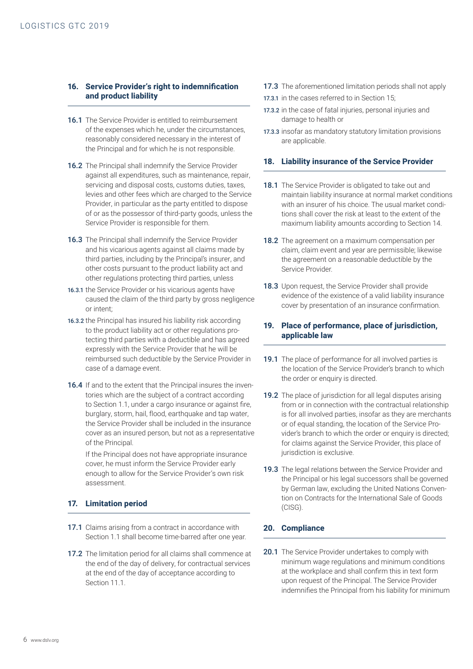## **16. Service Provider's right to indemnification and product liability**

- 16.1 The Service Provider is entitled to reimbursement of the expenses which he, under the circumstances, reasonably considered necessary in the interest of the Principal and for which he is not responsible.
- 16.2 The Principal shall indemnify the Service Provider against all expenditures, such as maintenance, repair, servicing and disposal costs, customs duties, taxes, levies and other fees which are charged to the Service Provider, in particular as the party entitled to dispose of or as the possessor of third-party goods, unless the Service Provider is responsible for them.
- 16.3 The Principal shall indemnify the Service Provider and his vicarious agents against all claims made by third parties, including by the Principal's insurer, and other costs pursuant to the product liability act and other regulations protecting third parties, unless
- 16.3.1 the Service Provider or his vicarious agents have caused the claim of the third party by gross negligence or intent;
- 16.3.2 the Principal has insured his liability risk according to the product liability act or other regulations protecting third parties with a deductible and has agreed expressly with the Service Provider that he will be reimbursed such deductible by the Service Provider in case of a damage event.
- 16.4 If and to the extent that the Principal insures the inventories which are the subject of a contract according to Section 1.1, under a cargo insurance or against fire, burglary, storm, hail, flood, earthquake and tap water, the Service Provider shall be included in the insurance cover as an insured person, but not as a representative of the Principal.

If the Principal does not have appropriate insurance cover, he must inform the Service Provider early enough to allow for the Service Provider's own risk assessment.

# **17. Limitation period**

- 17.1 Claims arising from a contract in accordance with Section 1.1 shall become time-barred after one year.
- 17.2 The limitation period for all claims shall commence at the end of the day of delivery, for contractual services at the end of the day of acceptance according to Section 11.1
- 17.3 The aforementioned limitation periods shall not apply
- 17.3.1 in the cases referred to in Section 15;
- 17.3.2 in the case of fatal injuries, personal injuries and damage to health or
- 17.3.3 insofar as mandatory statutory limitation provisions are applicable.

# **18. Liability insurance of the Service Provider**

- **18.1** The Service Provider is obligated to take out and maintain liability insurance at normal market conditions with an insurer of his choice. The usual market conditions shall cover the risk at least to the extent of the maximum liability amounts according to Section 14.
- 18.2 The agreement on a maximum compensation per claim, claim event and year are permissible; likewise the agreement on a reasonable deductible by the Service Provider.
- 18.3 Upon request, the Service Provider shall provide evidence of the existence of a valid liability insurance cover by presentation of an insurance confirmation.

# **19. Place of performance, place of jurisdiction, applicable law**

- 19.1 The place of performance for all involved parties is the location of the Service Provider's branch to which the order or enquiry is directed.
- 19.2 The place of jurisdiction for all legal disputes arising from or in connection with the contractual relationship is for all involved parties, insofar as they are merchants or of equal standing, the location of the Service Provider's branch to which the order or enquiry is directed; for claims against the Service Provider, this place of jurisdiction is exclusive.
- 19.3 The legal relations between the Service Provider and the Principal or his legal successors shall be governed by German law, excluding the United Nations Convention on Contracts for the International Sale of Goods (CISG).

# **20. Compliance**

20.1 The Service Provider undertakes to comply with minimum wage regulations and minimum conditions at the workplace and shall confirm this in text form upon request of the Principal. The Service Provider indemnifies the Principal from his liability for minimum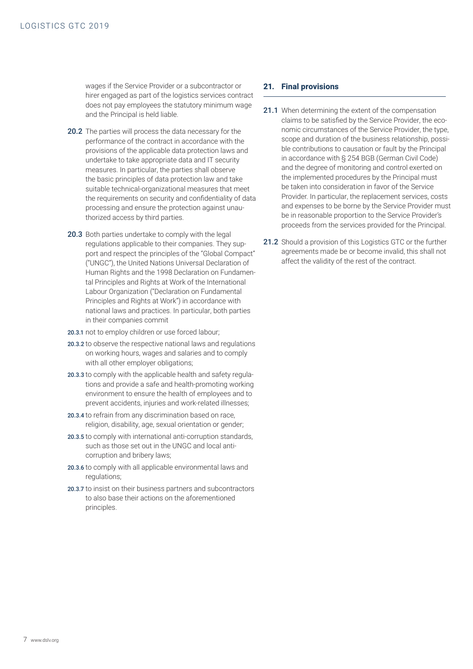wages if the Service Provider or a subcontractor or hirer engaged as part of the logistics services contract does not pay employees the statutory minimum wage and the Principal is held liable.

- 20.2 The parties will process the data necessary for the performance of the contract in accordance with the provisions of the applicable data protection laws and undertake to take appropriate data and IT security measures. In particular, the parties shall observe the basic principles of data protection law and take suitable technical-organizational measures that meet the requirements on security and confidentiality of data processing and ensure the protection against unauthorized access by third parties.
- 20.3 Both parties undertake to comply with the legal regulations applicable to their companies. They support and respect the principles of the "Global Compact" ("UNGC"), the United Nations Universal Declaration of Human Rights and the 1998 Declaration on Fundamental Principles and Rights at Work of the International Labour Organization ("Declaration on Fundamental Principles and Rights at Work") in accordance with national laws and practices. In particular, both parties in their companies commit
- 20.3.1 not to employ children or use forced labour;
- 20.3.2 to observe the respective national laws and regulations on working hours, wages and salaries and to comply with all other employer obligations:
- 20.3.3 to comply with the applicable health and safety regulations and provide a safe and health-promoting working environment to ensure the health of employees and to prevent accidents, injuries and work-related illnesses;
- 20.3.4 to refrain from any discrimination based on race, religion, disability, age, sexual orientation or gender;
- 20.3.5 to comply with international anti-corruption standards, such as those set out in the UNGC and local anticorruption and bribery laws;
- 20.3.6 to comply with all applicable environmental laws and regulations;
- 20.3.7 to insist on their business partners and subcontractors to also base their actions on the aforementioned principles.

## **21. Final provisions**

- 21.1 When determining the extent of the compensation claims to be satisfied by the Service Provider, the economic circumstances of the Service Provider, the type, scope and duration of the business relationship, possible contributions to causation or fault by the Principal in accordance with § 254 BGB (German Civil Code) and the degree of monitoring and control exerted on the implemented procedures by the Principal must be taken into consideration in favor of the Service Provider. In particular, the replacement services, costs and expenses to be borne by the Service Provider must be in reasonable proportion to the Service Provider's proceeds from the services provided for the Principal.
- 21.2 Should a provision of this Logistics GTC or the further agreements made be or become invalid, this shall not affect the validity of the rest of the contract.